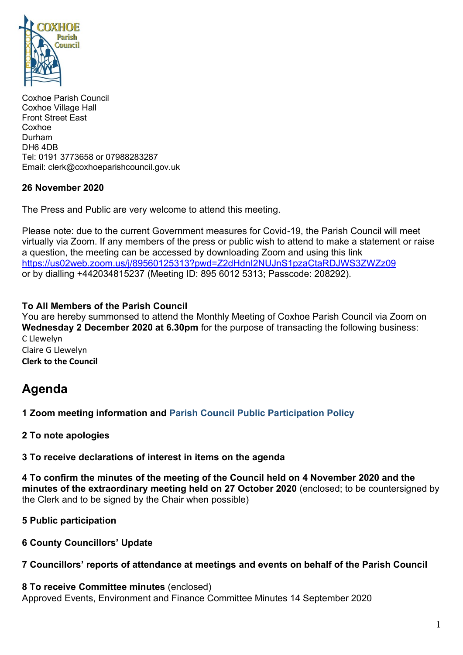

Coxhoe Parish Council Coxhoe Village Hall Front Street East Coxhoe Durham DH6 4DB Tel: 0191 3773658 or 07988283287 Email: clerk@coxhoeparishcouncil.gov.uk

## **26 November 2020**

The Press and Public are very welcome to attend this meeting.

Please note: due to the current Government measures for Covid-19, the Parish Council will meet virtually via Zoom. If any members of the press or public wish to attend to make a statement or raise a question, the meeting can be accessed by downloading Zoom and using this link <https://us02web.zoom.us/j/89560125313?pwd=Z2dHdnI2NUJnS1pzaCtaRDJWS3ZWZz09> or by dialling +442034815237 (Meeting ID: 895 6012 5313; Passcode: 208292).

## **To All Members of the Parish Council**

You are hereby summonsed to attend the Monthly Meeting of Coxhoe Parish Council via Zoom on **Wednesday 2 December 2020 at 6.30pm** for the purpose of transacting the following business: C Llewelyn

Claire G Llewelyn **Clerk to the Council**

# **Agenda**

**1 Zoom meeting information and [Parish Council Public Participation Policy](http://coxhoeparishcouncil.gov.uk/important-documents-and-policies/public-participation-policy-fmarch-2020-review-date-march-2022/)**

**2 To note apologies**

**3 To receive declarations of interest in items on the agenda**

**4 To confirm the minutes of the meeting of the Council held on 4 November 2020 and the minutes of the extraordinary meeting held on 27 October 2020** (enclosed; to be countersigned by the Clerk and to be signed by the Chair when possible)

**5 Public participation**

**6 County Councillors' Update**

### **7 Councillors' reports of attendance at meetings and events on behalf of the Parish Council**

**8 To receive Committee minutes** (enclosed) Approved Events, Environment and Finance Committee Minutes 14 September 2020